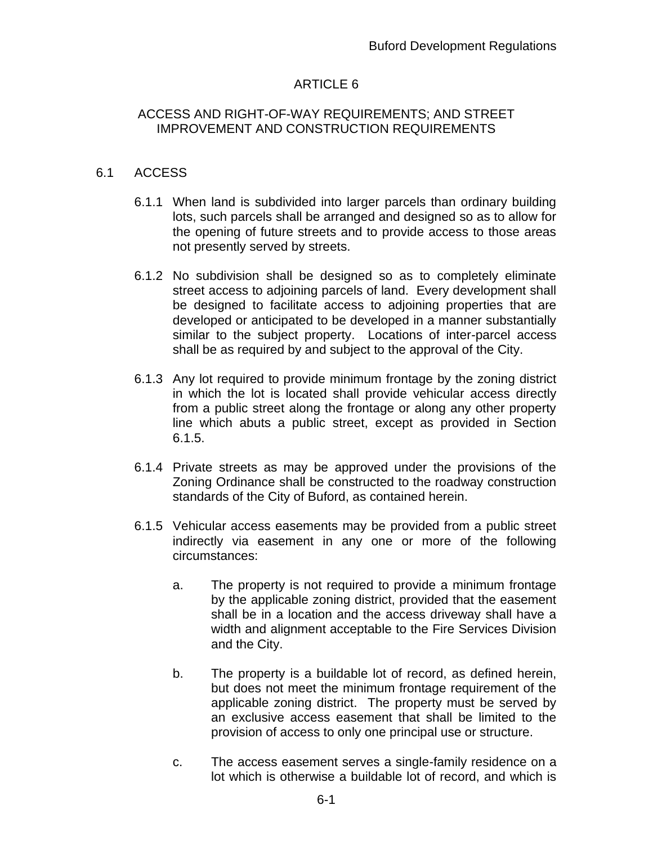## ARTICLE 6

### ACCESS AND RIGHT-OF-WAY REQUIREMENTS; AND STREET IMPROVEMENT AND CONSTRUCTION REQUIREMENTS

### 6.1 ACCESS

- 6.1.1 When land is subdivided into larger parcels than ordinary building lots, such parcels shall be arranged and designed so as to allow for the opening of future streets and to provide access to those areas not presently served by streets.
- 6.1.2 No subdivision shall be designed so as to completely eliminate street access to adjoining parcels of land. Every development shall be designed to facilitate access to adjoining properties that are developed or anticipated to be developed in a manner substantially similar to the subject property. Locations of inter-parcel access shall be as required by and subject to the approval of the City.
- 6.1.3 Any lot required to provide minimum frontage by the zoning district in which the lot is located shall provide vehicular access directly from a public street along the frontage or along any other property line which abuts a public street, except as provided in Section 6.1.5.
- 6.1.4 Private streets as may be approved under the provisions of the Zoning Ordinance shall be constructed to the roadway construction standards of the City of Buford, as contained herein.
- 6.1.5 Vehicular access easements may be provided from a public street indirectly via easement in any one or more of the following circumstances:
	- a. The property is not required to provide a minimum frontage by the applicable zoning district, provided that the easement shall be in a location and the access driveway shall have a width and alignment acceptable to the Fire Services Division and the City.
	- b. The property is a buildable lot of record, as defined herein, but does not meet the minimum frontage requirement of the applicable zoning district. The property must be served by an exclusive access easement that shall be limited to the provision of access to only one principal use or structure.
	- c. The access easement serves a single-family residence on a lot which is otherwise a buildable lot of record, and which is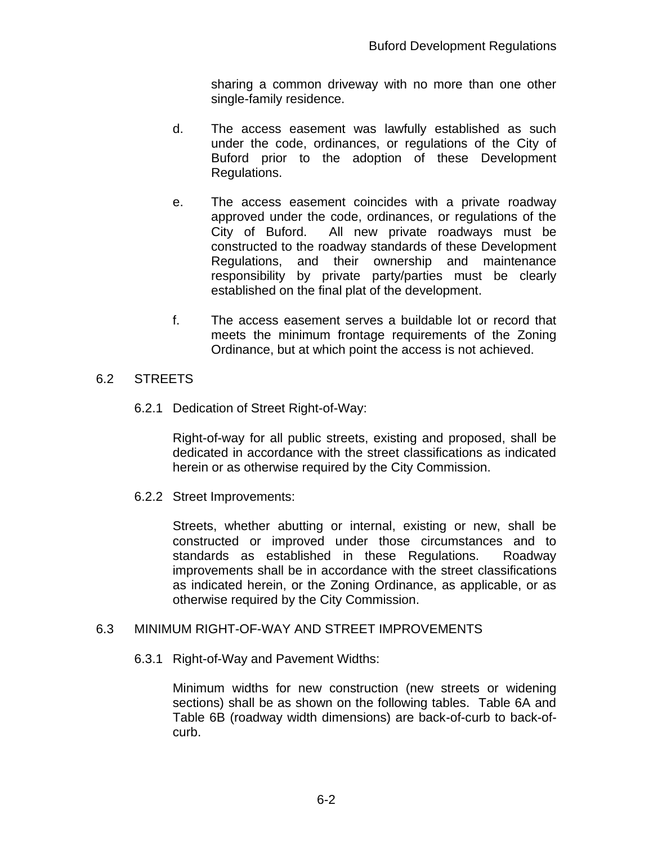sharing a common driveway with no more than one other single-family residence.

- d. The access easement was lawfully established as such under the code, ordinances, or regulations of the City of Buford prior to the adoption of these Development Regulations.
- e. The access easement coincides with a private roadway approved under the code, ordinances, or regulations of the City of Buford. All new private roadways must be constructed to the roadway standards of these Development Regulations, and their ownership and maintenance responsibility by private party/parties must be clearly established on the final plat of the development.
- f. The access easement serves a buildable lot or record that meets the minimum frontage requirements of the Zoning Ordinance, but at which point the access is not achieved.

### 6.2 STREETS

6.2.1 Dedication of Street Right-of-Way:

Right-of-way for all public streets, existing and proposed, shall be dedicated in accordance with the street classifications as indicated herein or as otherwise required by the City Commission.

6.2.2 Street Improvements:

Streets, whether abutting or internal, existing or new, shall be constructed or improved under those circumstances and to standards as established in these Regulations. Roadway improvements shall be in accordance with the street classifications as indicated herein, or the Zoning Ordinance, as applicable, or as otherwise required by the City Commission.

### 6.3 MINIMUM RIGHT-OF-WAY AND STREET IMPROVEMENTS

### 6.3.1 Right-of-Way and Pavement Widths:

Minimum widths for new construction (new streets or widening sections) shall be as shown on the following tables. Table 6A and Table 6B (roadway width dimensions) are back-of-curb to back-ofcurb.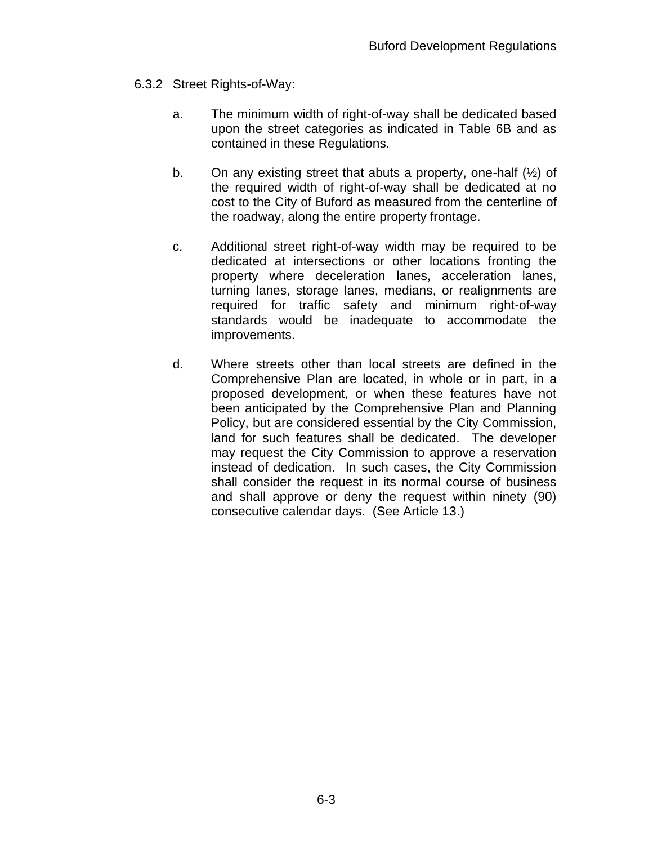- 6.3.2 Street Rights-of-Way:
	- a. The minimum width of right-of-way shall be dedicated based upon the street categories as indicated in Table 6B and as contained in these Regulations.
	- b. On any existing street that abuts a property, one-half  $(\frac{1}{2})$  of the required width of right-of-way shall be dedicated at no cost to the City of Buford as measured from the centerline of the roadway, along the entire property frontage.
	- c. Additional street right-of-way width may be required to be dedicated at intersections or other locations fronting the property where deceleration lanes, acceleration lanes, turning lanes, storage lanes, medians, or realignments are required for traffic safety and minimum right-of-way standards would be inadequate to accommodate the improvements.
	- d. Where streets other than local streets are defined in the Comprehensive Plan are located, in whole or in part, in a proposed development, or when these features have not been anticipated by the Comprehensive Plan and Planning Policy, but are considered essential by the City Commission, land for such features shall be dedicated. The developer may request the City Commission to approve a reservation instead of dedication. In such cases, the City Commission shall consider the request in its normal course of business and shall approve or deny the request within ninety (90) consecutive calendar days. (See Article 13.)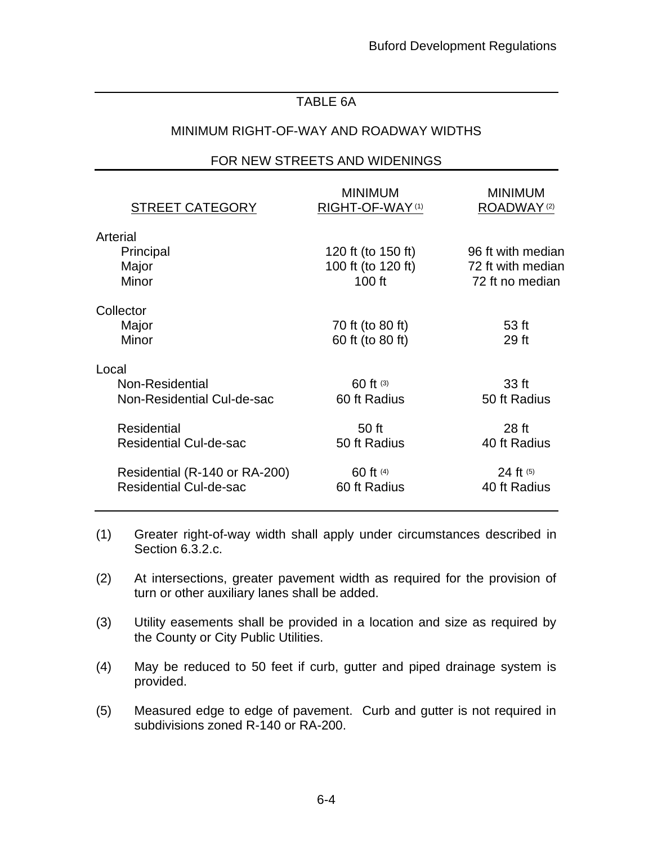## TABLE 6A

## MINIMUM RIGHT-OF-WAY AND ROADWAY WIDTHS

### FOR NEW STREETS AND WIDENINGS

| <b>STREET CATEGORY</b>        | <b>MINIMUM</b><br>RIGHT-OF-WAY(1) | <b>MINIMUM</b><br>ROADWAY <sup>(2)</sup> |
|-------------------------------|-----------------------------------|------------------------------------------|
| Arterial                      |                                   |                                          |
| Principal                     | 120 ft (to 150 ft)                | 96 ft with median                        |
| Major                         | 100 ft (to 120 ft)                | 72 ft with median                        |
| Minor                         | $100$ ft                          | 72 ft no median                          |
| Collector                     |                                   |                                          |
| Major                         | 70 ft (to 80 ft)                  | 53 <sub>ft</sub>                         |
| Minor                         | 60 ft (to 80 ft)                  | 29 ft                                    |
| Local                         |                                   |                                          |
| Non-Residential               | 60 ft (3)                         | 33 ft                                    |
| Non-Residential Cul-de-sac    | 60 ft Radius                      | 50 ft Radius                             |
| <b>Residential</b>            | 50 ft                             | 28 <sub>ft</sub>                         |
| <b>Residential Cul-de-sac</b> | 50 ft Radius                      | 40 ft Radius                             |
| Residential (R-140 or RA-200) | 60 ft (4)                         | 24 ft (5)                                |
| <b>Residential Cul-de-sac</b> | 60 ft Radius                      | 40 ft Radius                             |
|                               |                                   |                                          |

- (1) Greater right-of-way width shall apply under circumstances described in Section 6.3.2.c.
- (2) At intersections, greater pavement width as required for the provision of turn or other auxiliary lanes shall be added.
- (3) Utility easements shall be provided in a location and size as required by the County or City Public Utilities.
- (4) May be reduced to 50 feet if curb, gutter and piped drainage system is provided.
- (5) Measured edge to edge of pavement. Curb and gutter is not required in subdivisions zoned R-140 or RA-200.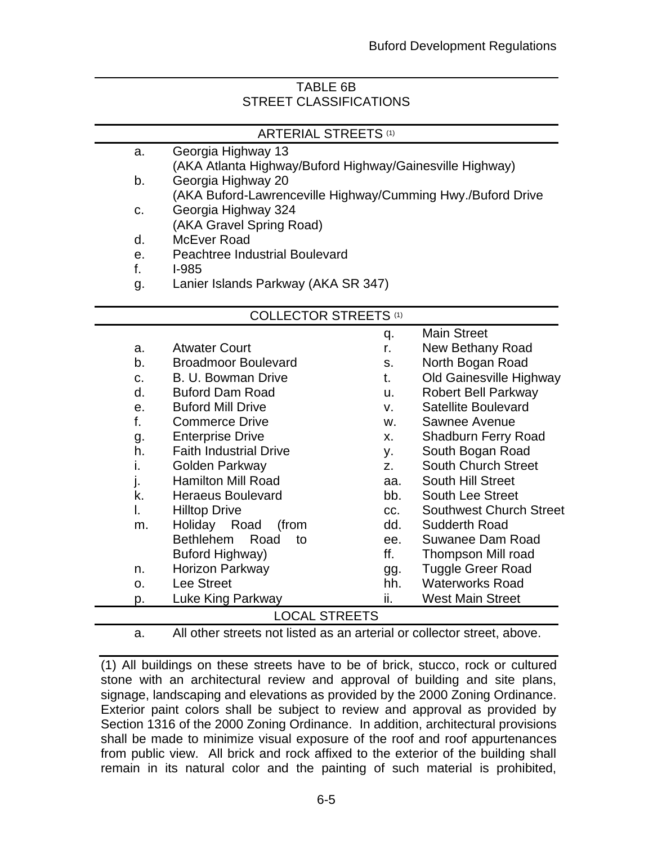# TABLE 6B STREET CLASSIFICATIONS

| <b>ARTERIAL STREETS (1)</b> |    |                                                             |     |                                |  |  |  |  |  |
|-----------------------------|----|-------------------------------------------------------------|-----|--------------------------------|--|--|--|--|--|
|                             | a. | Georgia Highway 13                                          |     |                                |  |  |  |  |  |
|                             |    | (AKA Atlanta Highway/Buford Highway/Gainesville Highway)    |     |                                |  |  |  |  |  |
|                             | b. | Georgia Highway 20                                          |     |                                |  |  |  |  |  |
|                             |    | (AKA Buford-Lawrenceville Highway/Cumming Hwy./Buford Drive |     |                                |  |  |  |  |  |
|                             | C. | Georgia Highway 324                                         |     |                                |  |  |  |  |  |
|                             |    | (AKA Gravel Spring Road)                                    |     |                                |  |  |  |  |  |
|                             | d. | McEver Road                                                 |     |                                |  |  |  |  |  |
|                             | e. | <b>Peachtree Industrial Boulevard</b>                       |     |                                |  |  |  |  |  |
|                             | f. | $I-985$                                                     |     |                                |  |  |  |  |  |
|                             | g. | Lanier Islands Parkway (AKA SR 347)                         |     |                                |  |  |  |  |  |
|                             |    | <b>COLLECTOR STREETS (1)</b>                                |     |                                |  |  |  |  |  |
|                             |    |                                                             | q.  | <b>Main Street</b>             |  |  |  |  |  |
|                             | a. | <b>Atwater Court</b>                                        | r.  | New Bethany Road               |  |  |  |  |  |
|                             | b. | <b>Broadmoor Boulevard</b>                                  | S.  | North Bogan Road               |  |  |  |  |  |
|                             | C. | B. U. Bowman Drive                                          | t.  | Old Gainesville Highway        |  |  |  |  |  |
|                             | d. | <b>Buford Dam Road</b>                                      | u.  | <b>Robert Bell Parkway</b>     |  |  |  |  |  |
|                             | е. | <b>Buford Mill Drive</b>                                    | V.  | <b>Satellite Boulevard</b>     |  |  |  |  |  |
|                             | f. | <b>Commerce Drive</b>                                       | W.  | Sawnee Avenue                  |  |  |  |  |  |
|                             | g. | <b>Enterprise Drive</b>                                     | X.  | <b>Shadburn Ferry Road</b>     |  |  |  |  |  |
|                             | h. | <b>Faith Industrial Drive</b>                               | у.  | South Bogan Road               |  |  |  |  |  |
|                             | i. | Golden Parkway                                              | Z.  | <b>South Church Street</b>     |  |  |  |  |  |
|                             | j. | <b>Hamilton Mill Road</b>                                   | aa. | South Hill Street              |  |  |  |  |  |
|                             | k. | <b>Heraeus Boulevard</b>                                    | bb. | <b>South Lee Street</b>        |  |  |  |  |  |
|                             | I. | <b>Hilltop Drive</b>                                        | CC. | <b>Southwest Church Street</b> |  |  |  |  |  |
|                             | m. | Holiday Road<br>(from                                       | dd. | <b>Sudderth Road</b>           |  |  |  |  |  |
|                             |    | <b>Bethlehem</b><br>Road<br>to                              | ee. | Suwanee Dam Road               |  |  |  |  |  |
|                             |    | <b>Buford Highway)</b>                                      | ff. | Thompson Mill road             |  |  |  |  |  |
|                             | n. | Horizon Parkway                                             | gg. | <b>Tuggle Greer Road</b>       |  |  |  |  |  |
|                             | ο. | Lee Street                                                  | hh. | <b>Waterworks Road</b>         |  |  |  |  |  |

### LOCAL STREETS

p. Luke King Parkway

a. All other streets not listed as an arterial or collector street, above.

ii. West Main Street

(1) All buildings on these streets have to be of brick, stucco, rock or cultured stone with an architectural review and approval of building and site plans, signage, landscaping and elevations as provided by the 2000 Zoning Ordinance. Exterior paint colors shall be subject to review and approval as provided by Section 1316 of the 2000 Zoning Ordinance. In addition, architectural provisions shall be made to minimize visual exposure of the roof and roof appurtenances from public view. All brick and rock affixed to the exterior of the building shall remain in its natural color and the painting of such material is prohibited,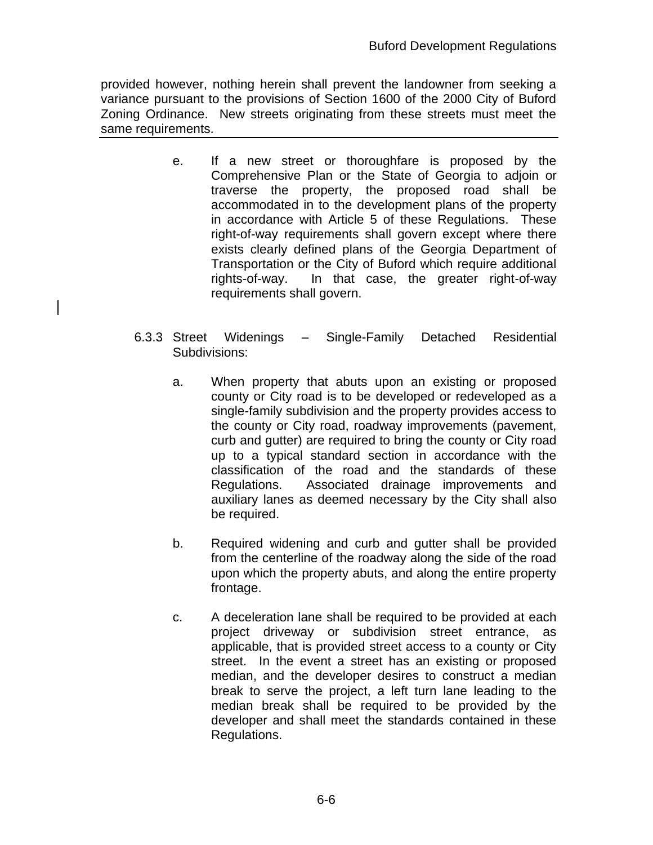provided however, nothing herein shall prevent the landowner from seeking a variance pursuant to the provisions of Section 1600 of the 2000 City of Buford Zoning Ordinance. New streets originating from these streets must meet the same requirements.

- e. If a new street or thoroughfare is proposed by the Comprehensive Plan or the State of Georgia to adjoin or traverse the property, the proposed road shall be accommodated in to the development plans of the property in accordance with Article 5 of these Regulations. These right-of-way requirements shall govern except where there exists clearly defined plans of the Georgia Department of Transportation or the City of Buford which require additional rights-of-way. In that case, the greater right-of-way requirements shall govern.
- 6.3.3 Street Widenings Single-Family Detached Residential Subdivisions:
	- a. When property that abuts upon an existing or proposed county or City road is to be developed or redeveloped as a single-family subdivision and the property provides access to the county or City road, roadway improvements (pavement, curb and gutter) are required to bring the county or City road up to a typical standard section in accordance with the classification of the road and the standards of these Regulations. Associated drainage improvements and auxiliary lanes as deemed necessary by the City shall also be required.
	- b. Required widening and curb and gutter shall be provided from the centerline of the roadway along the side of the road upon which the property abuts, and along the entire property frontage.
	- c. A deceleration lane shall be required to be provided at each project driveway or subdivision street entrance, as applicable, that is provided street access to a county or City street. In the event a street has an existing or proposed median, and the developer desires to construct a median break to serve the project, a left turn lane leading to the median break shall be required to be provided by the developer and shall meet the standards contained in these Regulations.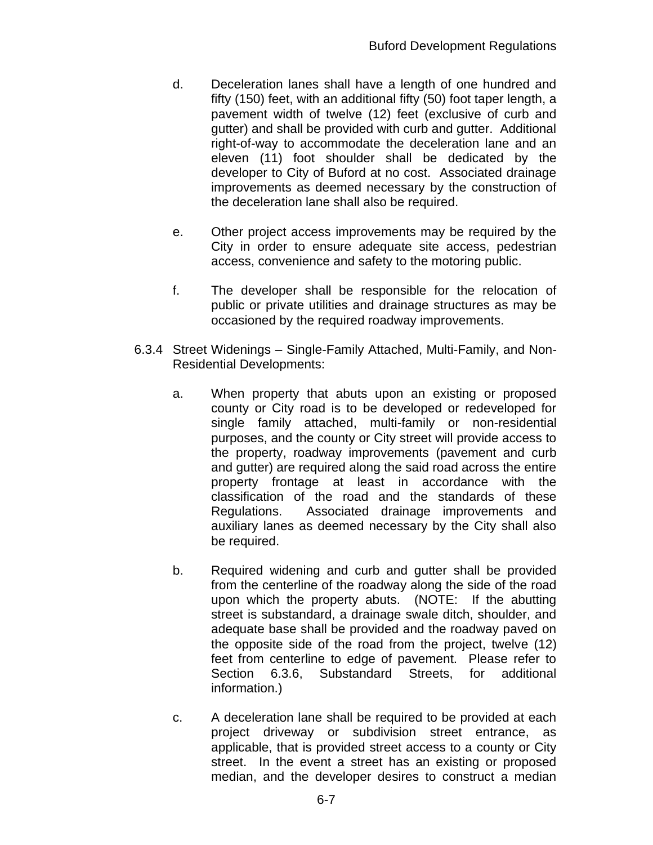- d. Deceleration lanes shall have a length of one hundred and fifty (150) feet, with an additional fifty (50) foot taper length, a pavement width of twelve (12) feet (exclusive of curb and gutter) and shall be provided with curb and gutter. Additional right-of-way to accommodate the deceleration lane and an eleven (11) foot shoulder shall be dedicated by the developer to City of Buford at no cost. Associated drainage improvements as deemed necessary by the construction of the deceleration lane shall also be required.
- e. Other project access improvements may be required by the City in order to ensure adequate site access, pedestrian access, convenience and safety to the motoring public.
- f. The developer shall be responsible for the relocation of public or private utilities and drainage structures as may be occasioned by the required roadway improvements.
- 6.3.4 Street Widenings Single-Family Attached, Multi-Family, and Non-Residential Developments:
	- a. When property that abuts upon an existing or proposed county or City road is to be developed or redeveloped for single family attached, multi-family or non-residential purposes, and the county or City street will provide access to the property, roadway improvements (pavement and curb and gutter) are required along the said road across the entire property frontage at least in accordance with the classification of the road and the standards of these Regulations. Associated drainage improvements and auxiliary lanes as deemed necessary by the City shall also be required.
	- b. Required widening and curb and gutter shall be provided from the centerline of the roadway along the side of the road upon which the property abuts. (NOTE: If the abutting street is substandard, a drainage swale ditch, shoulder, and adequate base shall be provided and the roadway paved on the opposite side of the road from the project, twelve (12) feet from centerline to edge of pavement. Please refer to Section 6.3.6, Substandard Streets, for additional information.)
	- c. A deceleration lane shall be required to be provided at each project driveway or subdivision street entrance, as applicable, that is provided street access to a county or City street. In the event a street has an existing or proposed median, and the developer desires to construct a median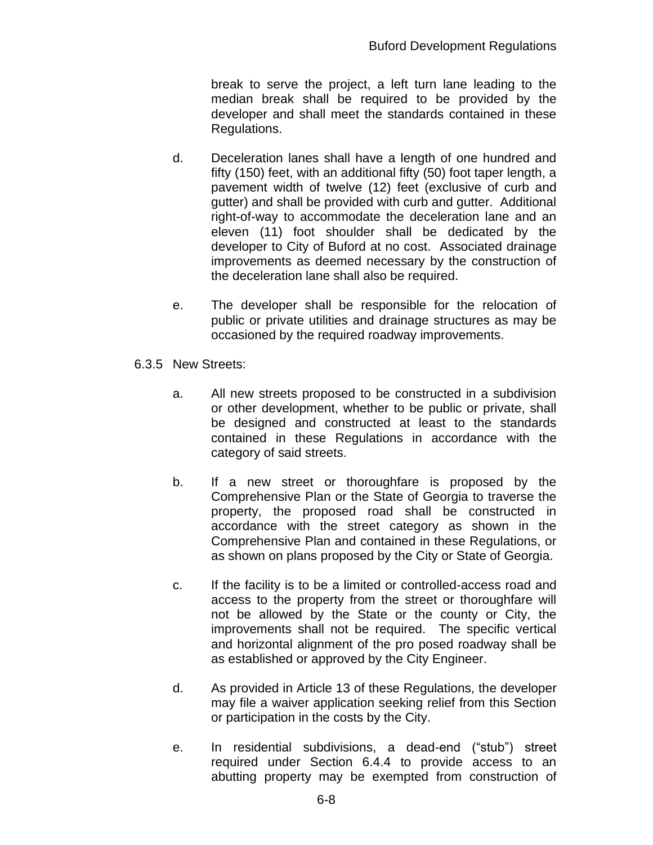break to serve the project, a left turn lane leading to the median break shall be required to be provided by the developer and shall meet the standards contained in these Regulations.

- d. Deceleration lanes shall have a length of one hundred and fifty (150) feet, with an additional fifty (50) foot taper length, a pavement width of twelve (12) feet (exclusive of curb and gutter) and shall be provided with curb and gutter. Additional right-of-way to accommodate the deceleration lane and an eleven (11) foot shoulder shall be dedicated by the developer to City of Buford at no cost. Associated drainage improvements as deemed necessary by the construction of the deceleration lane shall also be required.
- e. The developer shall be responsible for the relocation of public or private utilities and drainage structures as may be occasioned by the required roadway improvements.
- 6.3.5 New Streets:
	- a. All new streets proposed to be constructed in a subdivision or other development, whether to be public or private, shall be designed and constructed at least to the standards contained in these Regulations in accordance with the category of said streets.
	- b. If a new street or thoroughfare is proposed by the Comprehensive Plan or the State of Georgia to traverse the property, the proposed road shall be constructed in accordance with the street category as shown in the Comprehensive Plan and contained in these Regulations, or as shown on plans proposed by the City or State of Georgia.
	- c. If the facility is to be a limited or controlled-access road and access to the property from the street or thoroughfare will not be allowed by the State or the county or City, the improvements shall not be required. The specific vertical and horizontal alignment of the pro posed roadway shall be as established or approved by the City Engineer.
	- d. As provided in Article 13 of these Regulations, the developer may file a waiver application seeking relief from this Section or participation in the costs by the City.
	- e. In residential subdivisions, a dead-end ("stub") street required under Section 6.4.4 to provide access to an abutting property may be exempted from construction of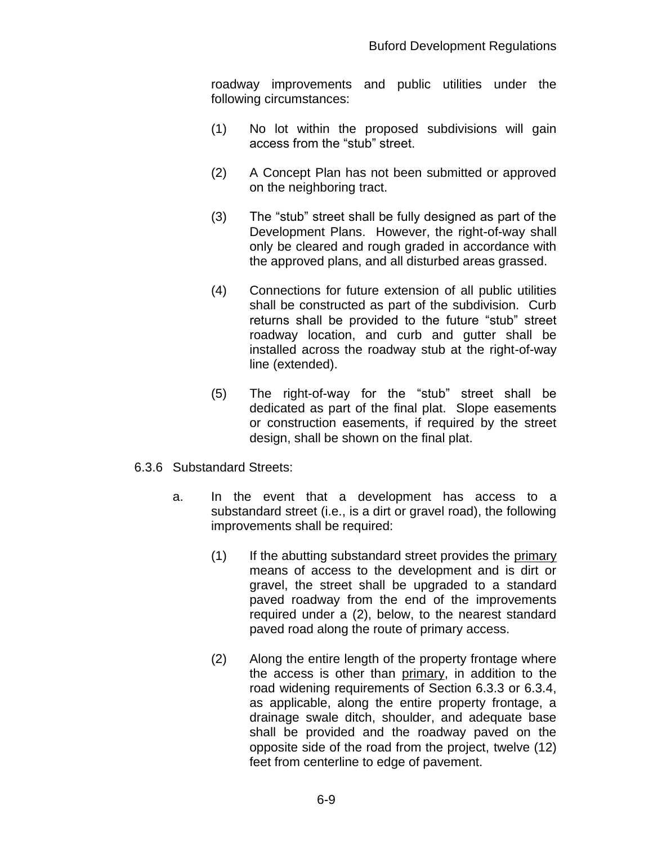roadway improvements and public utilities under the following circumstances:

- (1) No lot within the proposed subdivisions will gain access from the "stub" street.
- (2) A Concept Plan has not been submitted or approved on the neighboring tract.
- (3) The "stub" street shall be fully designed as part of the Development Plans. However, the right-of-way shall only be cleared and rough graded in accordance with the approved plans, and all disturbed areas grassed.
- (4) Connections for future extension of all public utilities shall be constructed as part of the subdivision. Curb returns shall be provided to the future "stub" street roadway location, and curb and gutter shall be installed across the roadway stub at the right-of-way line (extended).
- (5) The right-of-way for the "stub" street shall be dedicated as part of the final plat. Slope easements or construction easements, if required by the street design, shall be shown on the final plat.
- 6.3.6 Substandard Streets:
	- a. In the event that a development has access to a substandard street (i.e., is a dirt or gravel road), the following improvements shall be required:
		- (1) If the abutting substandard street provides the primary means of access to the development and is dirt or gravel, the street shall be upgraded to a standard paved roadway from the end of the improvements required under a (2), below, to the nearest standard paved road along the route of primary access.
		- (2) Along the entire length of the property frontage where the access is other than primary, in addition to the road widening requirements of Section 6.3.3 or 6.3.4, as applicable, along the entire property frontage, a drainage swale ditch, shoulder, and adequate base shall be provided and the roadway paved on the opposite side of the road from the project, twelve (12) feet from centerline to edge of pavement.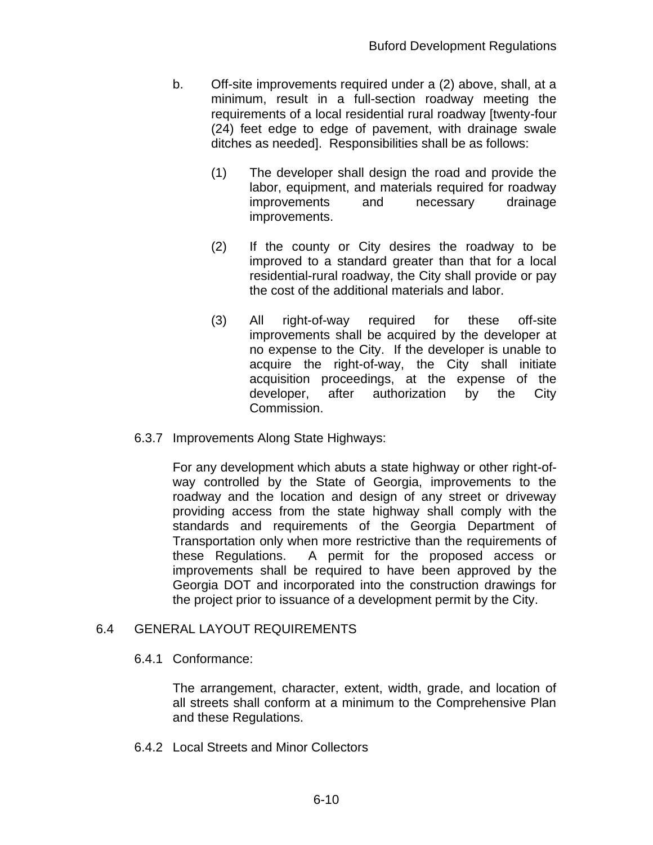- b. Off-site improvements required under a (2) above, shall, at a minimum, result in a full-section roadway meeting the requirements of a local residential rural roadway [twenty-four (24) feet edge to edge of pavement, with drainage swale ditches as needed]. Responsibilities shall be as follows:
	- (1) The developer shall design the road and provide the labor, equipment, and materials required for roadway improvements and necessary drainage improvements.
	- (2) If the county or City desires the roadway to be improved to a standard greater than that for a local residential-rural roadway, the City shall provide or pay the cost of the additional materials and labor.
	- (3) All right-of-way required for these off-site improvements shall be acquired by the developer at no expense to the City. If the developer is unable to acquire the right-of-way, the City shall initiate acquisition proceedings, at the expense of the developer, after authorization by the City Commission.
- 6.3.7 Improvements Along State Highways:

For any development which abuts a state highway or other right-ofway controlled by the State of Georgia, improvements to the roadway and the location and design of any street or driveway providing access from the state highway shall comply with the standards and requirements of the Georgia Department of Transportation only when more restrictive than the requirements of these Regulations. A permit for the proposed access or improvements shall be required to have been approved by the Georgia DOT and incorporated into the construction drawings for the project prior to issuance of a development permit by the City.

## 6.4 GENERAL LAYOUT REQUIREMENTS

## 6.4.1 Conformance:

The arrangement, character, extent, width, grade, and location of all streets shall conform at a minimum to the Comprehensive Plan and these Regulations.

6.4.2 Local Streets and Minor Collectors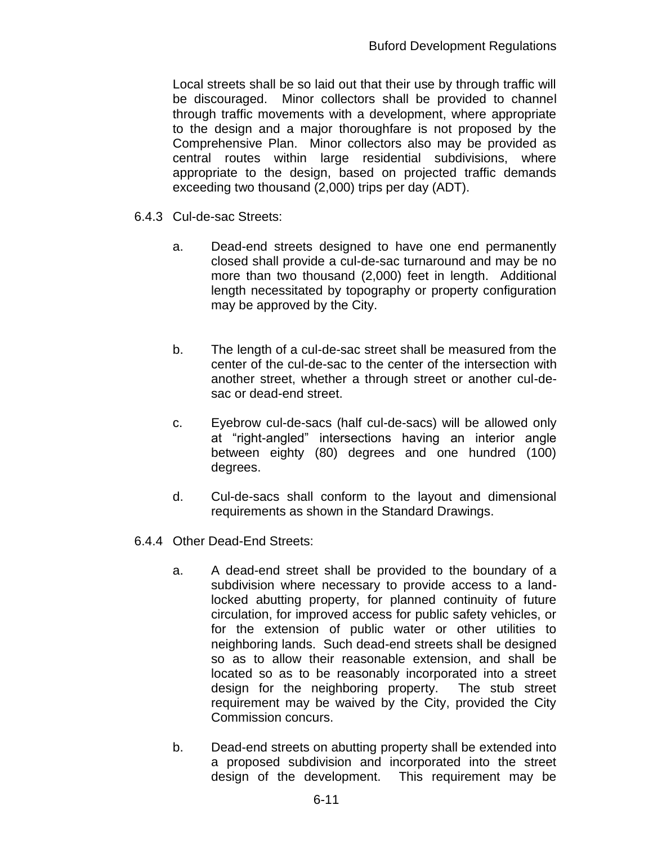Local streets shall be so laid out that their use by through traffic will be discouraged. Minor collectors shall be provided to channel through traffic movements with a development, where appropriate to the design and a major thoroughfare is not proposed by the Comprehensive Plan. Minor collectors also may be provided as central routes within large residential subdivisions, where appropriate to the design, based on projected traffic demands exceeding two thousand (2,000) trips per day (ADT).

- 6.4.3 Cul-de-sac Streets:
	- a. Dead-end streets designed to have one end permanently closed shall provide a cul-de-sac turnaround and may be no more than two thousand (2,000) feet in length. Additional length necessitated by topography or property configuration may be approved by the City.
	- b. The length of a cul-de-sac street shall be measured from the center of the cul-de-sac to the center of the intersection with another street, whether a through street or another cul-desac or dead-end street.
	- c. Eyebrow cul-de-sacs (half cul-de-sacs) will be allowed only at "right-angled" intersections having an interior angle between eighty (80) degrees and one hundred (100) degrees.
	- d. Cul-de-sacs shall conform to the layout and dimensional requirements as shown in the Standard Drawings.
- 6.4.4 Other Dead-End Streets:
	- a. A dead-end street shall be provided to the boundary of a subdivision where necessary to provide access to a landlocked abutting property, for planned continuity of future circulation, for improved access for public safety vehicles, or for the extension of public water or other utilities to neighboring lands. Such dead-end streets shall be designed so as to allow their reasonable extension, and shall be located so as to be reasonably incorporated into a street design for the neighboring property. The stub street requirement may be waived by the City, provided the City Commission concurs.
	- b. Dead-end streets on abutting property shall be extended into a proposed subdivision and incorporated into the street design of the development. This requirement may be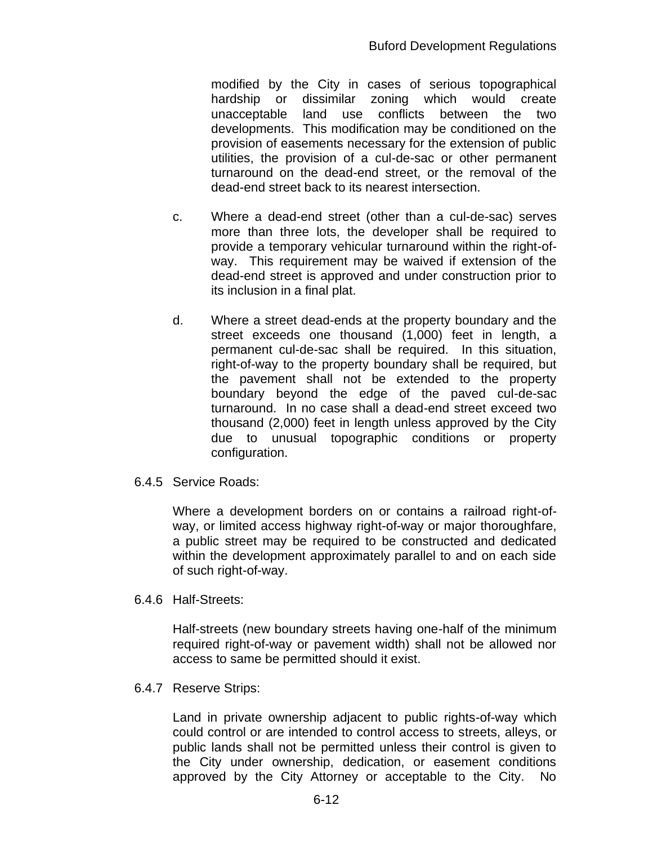modified by the City in cases of serious topographical hardship or dissimilar zoning which would create unacceptable land use conflicts between the two developments. This modification may be conditioned on the provision of easements necessary for the extension of public utilities, the provision of a cul-de-sac or other permanent turnaround on the dead-end street, or the removal of the dead-end street back to its nearest intersection.

- c. Where a dead-end street (other than a cul-de-sac) serves more than three lots, the developer shall be required to provide a temporary vehicular turnaround within the right-ofway. This requirement may be waived if extension of the dead-end street is approved and under construction prior to its inclusion in a final plat.
- d. Where a street dead-ends at the property boundary and the street exceeds one thousand (1,000) feet in length, a permanent cul-de-sac shall be required. In this situation, right-of-way to the property boundary shall be required, but the pavement shall not be extended to the property boundary beyond the edge of the paved cul-de-sac turnaround. In no case shall a dead-end street exceed two thousand (2,000) feet in length unless approved by the City due to unusual topographic conditions or property configuration.
- 6.4.5 Service Roads:

Where a development borders on or contains a railroad right-ofway, or limited access highway right-of-way or major thoroughfare, a public street may be required to be constructed and dedicated within the development approximately parallel to and on each side of such right-of-way.

6.4.6 Half-Streets:

Half-streets (new boundary streets having one-half of the minimum required right-of-way or pavement width) shall not be allowed nor access to same be permitted should it exist.

6.4.7 Reserve Strips:

Land in private ownership adjacent to public rights-of-way which could control or are intended to control access to streets, alleys, or public lands shall not be permitted unless their control is given to the City under ownership, dedication, or easement conditions approved by the City Attorney or acceptable to the City. No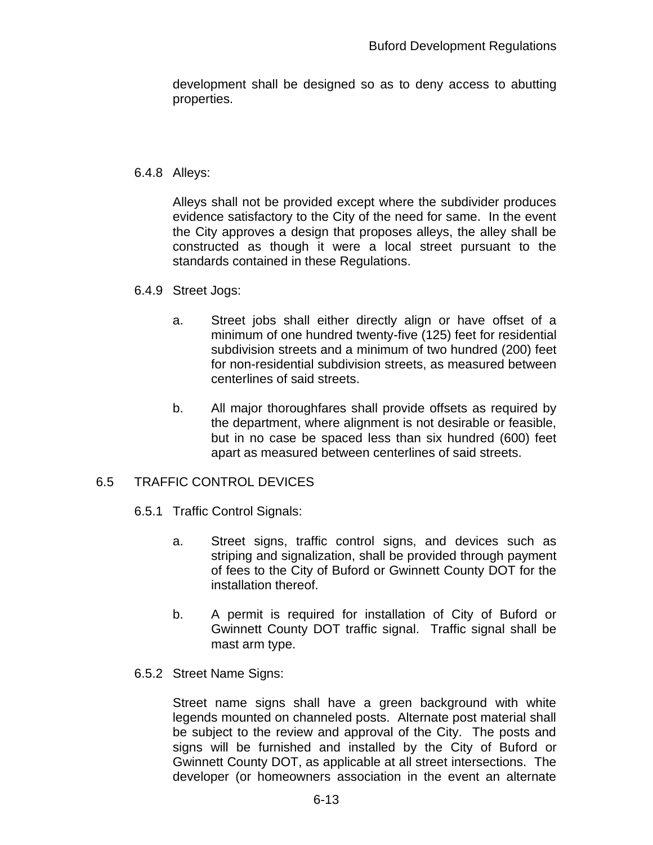development shall be designed so as to deny access to abutting properties.

#### 6.4.8 Alleys:

Alleys shall not be provided except where the subdivider produces evidence satisfactory to the City of the need for same. In the event the City approves a design that proposes alleys, the alley shall be constructed as though it were a local street pursuant to the standards contained in these Regulations.

- 6.4.9 Street Jogs:
	- a. Street jobs shall either directly align or have offset of a minimum of one hundred twenty-five (125) feet for residential subdivision streets and a minimum of two hundred (200) feet for non-residential subdivision streets, as measured between centerlines of said streets.
	- b. All major thoroughfares shall provide offsets as required by the department, where alignment is not desirable or feasible, but in no case be spaced less than six hundred (600) feet apart as measured between centerlines of said streets.

### 6.5 TRAFFIC CONTROL DEVICES

- 6.5.1 Traffic Control Signals:
	- a. Street signs, traffic control signs, and devices such as striping and signalization, shall be provided through payment of fees to the City of Buford or Gwinnett County DOT for the installation thereof.
	- b. A permit is required for installation of City of Buford or Gwinnett County DOT traffic signal. Traffic signal shall be mast arm type.
- 6.5.2 Street Name Signs:

Street name signs shall have a green background with white legends mounted on channeled posts. Alternate post material shall be subject to the review and approval of the City. The posts and signs will be furnished and installed by the City of Buford or Gwinnett County DOT, as applicable at all street intersections. The developer (or homeowners association in the event an alternate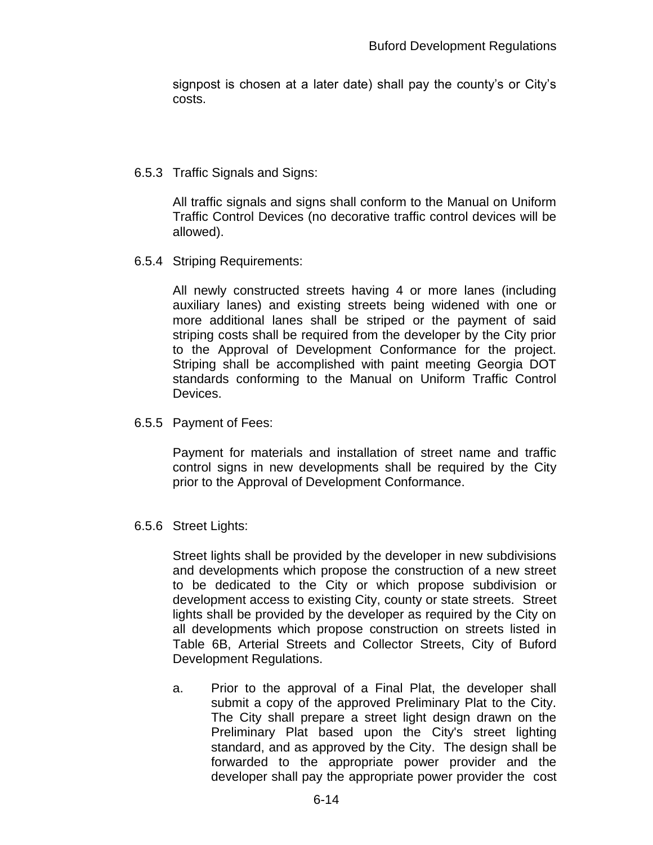signpost is chosen at a later date) shall pay the county's or City's costs.

### 6.5.3 Traffic Signals and Signs:

All traffic signals and signs shall conform to the Manual on Uniform Traffic Control Devices (no decorative traffic control devices will be allowed).

6.5.4 Striping Requirements:

All newly constructed streets having 4 or more lanes (including auxiliary lanes) and existing streets being widened with one or more additional lanes shall be striped or the payment of said striping costs shall be required from the developer by the City prior to the Approval of Development Conformance for the project. Striping shall be accomplished with paint meeting Georgia DOT standards conforming to the Manual on Uniform Traffic Control Devices.

6.5.5 Payment of Fees:

Payment for materials and installation of street name and traffic control signs in new developments shall be required by the City prior to the Approval of Development Conformance.

6.5.6 Street Lights:

Street lights shall be provided by the developer in new subdivisions and developments which propose the construction of a new street to be dedicated to the City or which propose subdivision or development access to existing City, county or state streets. Street lights shall be provided by the developer as required by the City on all developments which propose construction on streets listed in Table 6B, Arterial Streets and Collector Streets, City of Buford Development Regulations.

a. Prior to the approval of a Final Plat, the developer shall submit a copy of the approved Preliminary Plat to the City. The City shall prepare a street light design drawn on the Preliminary Plat based upon the City's street lighting standard, and as approved by the City. The design shall be forwarded to the appropriate power provider and the developer shall pay the appropriate power provider the cost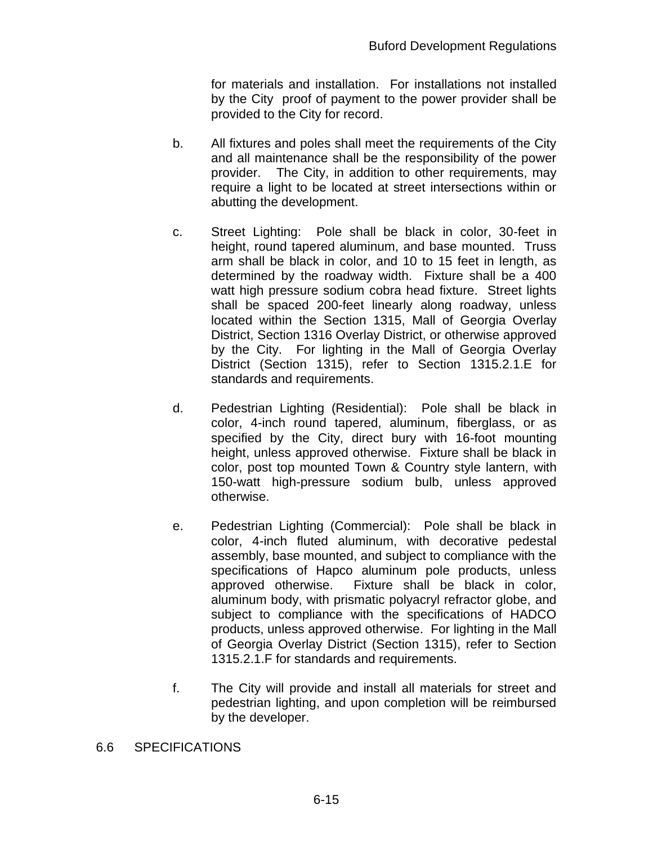for materials and installation. For installations not installed by the City proof of payment to the power provider shall be provided to the City for record.

- b. All fixtures and poles shall meet the requirements of the City and all maintenance shall be the responsibility of the power provider. The City, in addition to other requirements, may require a light to be located at street intersections within or abutting the development.
- c. Street Lighting: Pole shall be black in color, 30-feet in height, round tapered aluminum, and base mounted. Truss arm shall be black in color, and 10 to 15 feet in length, as determined by the roadway width. Fixture shall be a 400 watt high pressure sodium cobra head fixture. Street lights shall be spaced 200-feet linearly along roadway, unless located within the Section 1315, Mall of Georgia Overlay District, Section 1316 Overlay District, or otherwise approved by the City. For lighting in the Mall of Georgia Overlay District (Section 1315), refer to Section 1315.2.1.E for standards and requirements.
- d. Pedestrian Lighting (Residential): Pole shall be black in color, 4-inch round tapered, aluminum, fiberglass, or as specified by the City, direct bury with 16-foot mounting height, unless approved otherwise. Fixture shall be black in color, post top mounted Town & Country style lantern, with 150-watt high-pressure sodium bulb, unless approved otherwise.
- e. Pedestrian Lighting (Commercial): Pole shall be black in color, 4-inch fluted aluminum, with decorative pedestal assembly, base mounted, and subject to compliance with the specifications of Hapco aluminum pole products, unless approved otherwise. Fixture shall be black in color, aluminum body, with prismatic polyacryl refractor globe, and subject to compliance with the specifications of HADCO products, unless approved otherwise. For lighting in the Mall of Georgia Overlay District (Section 1315), refer to Section 1315.2.1.F for standards and requirements.
- f. The City will provide and install all materials for street and pedestrian lighting, and upon completion will be reimbursed by the developer.
- 6.6 SPECIFICATIONS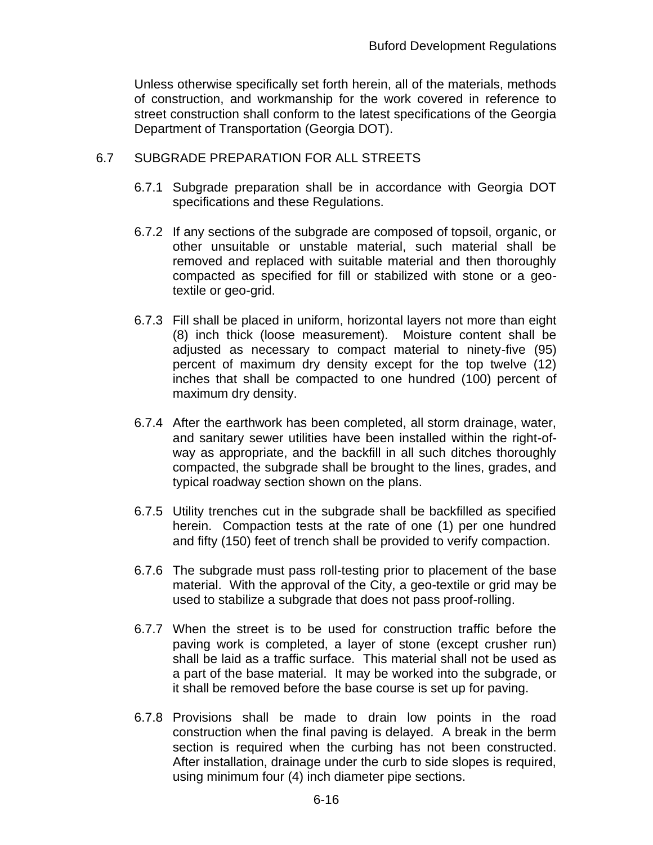Unless otherwise specifically set forth herein, all of the materials, methods of construction, and workmanship for the work covered in reference to street construction shall conform to the latest specifications of the Georgia Department of Transportation (Georgia DOT).

### 6.7 SUBGRADE PREPARATION FOR ALL STREETS

- 6.7.1 Subgrade preparation shall be in accordance with Georgia DOT specifications and these Regulations.
- 6.7.2 If any sections of the subgrade are composed of topsoil, organic, or other unsuitable or unstable material, such material shall be removed and replaced with suitable material and then thoroughly compacted as specified for fill or stabilized with stone or a geotextile or geo-grid.
- 6.7.3 Fill shall be placed in uniform, horizontal layers not more than eight (8) inch thick (loose measurement). Moisture content shall be adjusted as necessary to compact material to ninety-five (95) percent of maximum dry density except for the top twelve (12) inches that shall be compacted to one hundred (100) percent of maximum dry density.
- 6.7.4 After the earthwork has been completed, all storm drainage, water, and sanitary sewer utilities have been installed within the right-ofway as appropriate, and the backfill in all such ditches thoroughly compacted, the subgrade shall be brought to the lines, grades, and typical roadway section shown on the plans.
- 6.7.5 Utility trenches cut in the subgrade shall be backfilled as specified herein. Compaction tests at the rate of one (1) per one hundred and fifty (150) feet of trench shall be provided to verify compaction.
- 6.7.6 The subgrade must pass roll-testing prior to placement of the base material. With the approval of the City, a geo-textile or grid may be used to stabilize a subgrade that does not pass proof-rolling.
- 6.7.7 When the street is to be used for construction traffic before the paving work is completed, a layer of stone (except crusher run) shall be laid as a traffic surface. This material shall not be used as a part of the base material. It may be worked into the subgrade, or it shall be removed before the base course is set up for paving.
- 6.7.8 Provisions shall be made to drain low points in the road construction when the final paving is delayed. A break in the berm section is required when the curbing has not been constructed. After installation, drainage under the curb to side slopes is required, using minimum four (4) inch diameter pipe sections.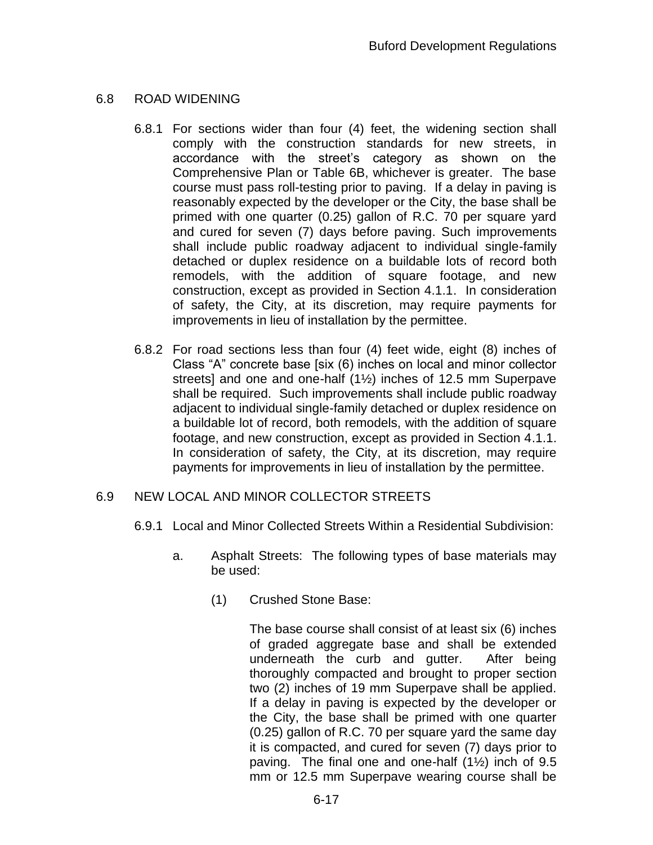## 6.8 ROAD WIDENING

- 6.8.1 For sections wider than four (4) feet, the widening section shall comply with the construction standards for new streets, in accordance with the street's category as shown on the Comprehensive Plan or Table 6B, whichever is greater. The base course must pass roll-testing prior to paving. If a delay in paving is reasonably expected by the developer or the City, the base shall be primed with one quarter (0.25) gallon of R.C. 70 per square yard and cured for seven (7) days before paving. Such improvements shall include public roadway adjacent to individual single-family detached or duplex residence on a buildable lots of record both remodels, with the addition of square footage, and new construction, except as provided in Section 4.1.1. In consideration of safety, the City, at its discretion, may require payments for improvements in lieu of installation by the permittee.
- 6.8.2 For road sections less than four (4) feet wide, eight (8) inches of Class "A" concrete base [six (6) inches on local and minor collector streets] and one and one-half (1½) inches of 12.5 mm Superpave shall be required. Such improvements shall include public roadway adjacent to individual single-family detached or duplex residence on a buildable lot of record, both remodels, with the addition of square footage, and new construction, except as provided in Section 4.1.1. In consideration of safety, the City, at its discretion, may require payments for improvements in lieu of installation by the permittee.

## 6.9 NEW LOCAL AND MINOR COLLECTOR STREETS

- 6.9.1 Local and Minor Collected Streets Within a Residential Subdivision:
	- a. Asphalt Streets: The following types of base materials may be used:
		- (1) Crushed Stone Base:

The base course shall consist of at least six (6) inches of graded aggregate base and shall be extended underneath the curb and gutter. After being thoroughly compacted and brought to proper section two (2) inches of 19 mm Superpave shall be applied. If a delay in paving is expected by the developer or the City, the base shall be primed with one quarter (0.25) gallon of R.C. 70 per square yard the same day it is compacted, and cured for seven (7) days prior to paving. The final one and one-half  $(1\frac{1}{2})$  inch of 9.5 mm or 12.5 mm Superpave wearing course shall be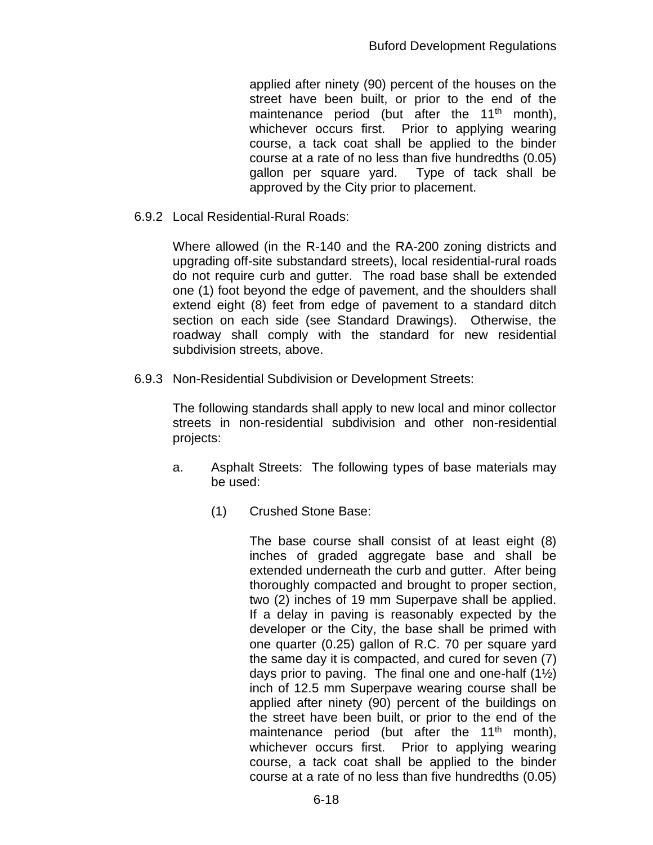applied after ninety (90) percent of the houses on the street have been built, or prior to the end of the maintenance period (but after the  $11<sup>th</sup>$  month), whichever occurs first. Prior to applying wearing course, a tack coat shall be applied to the binder course at a rate of no less than five hundredths (0.05) gallon per square yard. Type of tack shall be approved by the City prior to placement.

6.9.2 Local Residential-Rural Roads:

Where allowed (in the R-140 and the RA-200 zoning districts and upgrading off-site substandard streets), local residential-rural roads do not require curb and gutter. The road base shall be extended one (1) foot beyond the edge of pavement, and the shoulders shall extend eight (8) feet from edge of pavement to a standard ditch section on each side (see Standard Drawings). Otherwise, the roadway shall comply with the standard for new residential subdivision streets, above.

6.9.3 Non-Residential Subdivision or Development Streets:

The following standards shall apply to new local and minor collector streets in non-residential subdivision and other non-residential projects:

- a. Asphalt Streets: The following types of base materials may be used:
	- (1) Crushed Stone Base:

The base course shall consist of at least eight (8) inches of graded aggregate base and shall be extended underneath the curb and gutter. After being thoroughly compacted and brought to proper section, two (2) inches of 19 mm Superpave shall be applied. If a delay in paving is reasonably expected by the developer or the City, the base shall be primed with one quarter (0.25) gallon of R.C. 70 per square yard the same day it is compacted, and cured for seven (7) days prior to paving. The final one and one-half  $(1\frac{1}{2})$ inch of 12.5 mm Superpave wearing course shall be applied after ninety (90) percent of the buildings on the street have been built, or prior to the end of the maintenance period (but after the  $11<sup>th</sup>$  month), whichever occurs first. Prior to applying wearing course, a tack coat shall be applied to the binder course at a rate of no less than five hundredths (0.05)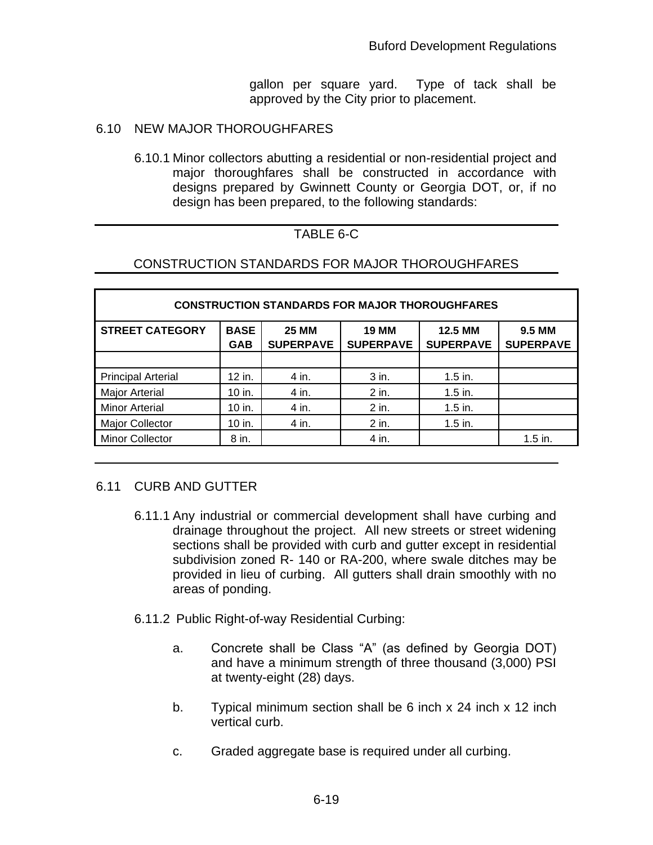gallon per square yard. Type of tack shall be approved by the City prior to placement.

### 6.10 NEW MAJOR THOROUGHFARES

6.10.1 Minor collectors abutting a residential or non-residential project and major thoroughfares shall be constructed in accordance with designs prepared by Gwinnett County or Georgia DOT, or, if no design has been prepared, to the following standards:

## TABLE 6-C

## CONSTRUCTION STANDARDS FOR MAJOR THOROUGHFARES

| <b>CONSTRUCTION STANDARDS FOR MAJOR THOROUGHFARES</b> |                           |                                  |                                  |                             |                            |  |  |  |
|-------------------------------------------------------|---------------------------|----------------------------------|----------------------------------|-----------------------------|----------------------------|--|--|--|
| <b>STREET CATEGORY</b>                                | <b>BASE</b><br><b>GAB</b> | <b>25 MM</b><br><b>SUPERPAVE</b> | <b>19 MM</b><br><b>SUPERPAVE</b> | 12.5 MM<br><b>SUPERPAVE</b> | 9.5 MM<br><b>SUPERPAVE</b> |  |  |  |
|                                                       |                           |                                  |                                  |                             |                            |  |  |  |
| <b>Principal Arterial</b>                             | 12 in.                    | 4 in.                            | 3 in.                            | $1.5$ in.                   |                            |  |  |  |
| <b>Major Arterial</b>                                 | 10 in.                    | 4 in.                            | 2 in.                            | $1.5$ in.                   |                            |  |  |  |
| <b>Minor Arterial</b>                                 | 10 in.                    | 4 in.                            | $2$ in.                          | $1.5$ in.                   |                            |  |  |  |
| <b>Major Collector</b>                                | 10 in.                    | 4 in.                            | $2$ in.                          | $1.5$ in.                   |                            |  |  |  |
| <b>Minor Collector</b>                                | 8 in.                     |                                  | 4 in.                            |                             | $1.5$ in.                  |  |  |  |

### 6.11 CURB AND GUTTER

- 6.11.1 Any industrial or commercial development shall have curbing and drainage throughout the project. All new streets or street widening sections shall be provided with curb and gutter except in residential subdivision zoned R- 140 or RA-200, where swale ditches may be provided in lieu of curbing. All gutters shall drain smoothly with no areas of ponding.
- 6.11.2 Public Right-of-way Residential Curbing:
	- a. Concrete shall be Class "A" (as defined by Georgia DOT) and have a minimum strength of three thousand (3,000) PSI at twenty-eight (28) days.
	- b. Typical minimum section shall be 6 inch x 24 inch x 12 inch vertical curb.
	- c. Graded aggregate base is required under all curbing.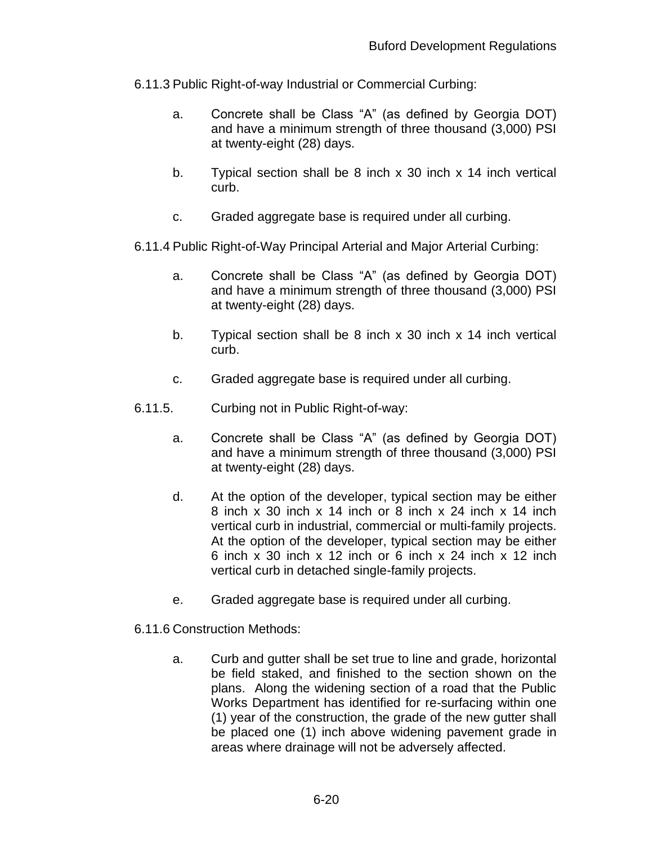- 6.11.3 Public Right-of-way Industrial or Commercial Curbing:
	- a. Concrete shall be Class "A" (as defined by Georgia DOT) and have a minimum strength of three thousand (3,000) PSI at twenty-eight (28) days.
	- b. Typical section shall be 8 inch x 30 inch x 14 inch vertical curb.
	- c. Graded aggregate base is required under all curbing.
- 6.11.4 Public Right-of-Way Principal Arterial and Major Arterial Curbing:
	- a. Concrete shall be Class "A" (as defined by Georgia DOT) and have a minimum strength of three thousand (3,000) PSI at twenty-eight (28) days.
	- b. Typical section shall be 8 inch x 30 inch x 14 inch vertical curb.
	- c. Graded aggregate base is required under all curbing.
- 6.11.5. Curbing not in Public Right-of-way:
	- a. Concrete shall be Class "A" (as defined by Georgia DOT) and have a minimum strength of three thousand (3,000) PSI at twenty-eight (28) days.
	- d. At the option of the developer, typical section may be either 8 inch x 30 inch x 14 inch or 8 inch x 24 inch x 14 inch vertical curb in industrial, commercial or multi-family projects. At the option of the developer, typical section may be either 6 inch x 30 inch x 12 inch or 6 inch x 24 inch x 12 inch vertical curb in detached single-family projects.
	- e. Graded aggregate base is required under all curbing.
- 6.11.6 Construction Methods:
	- a. Curb and gutter shall be set true to line and grade, horizontal be field staked, and finished to the section shown on the plans. Along the widening section of a road that the Public Works Department has identified for re-surfacing within one (1) year of the construction, the grade of the new gutter shall be placed one (1) inch above widening pavement grade in areas where drainage will not be adversely affected.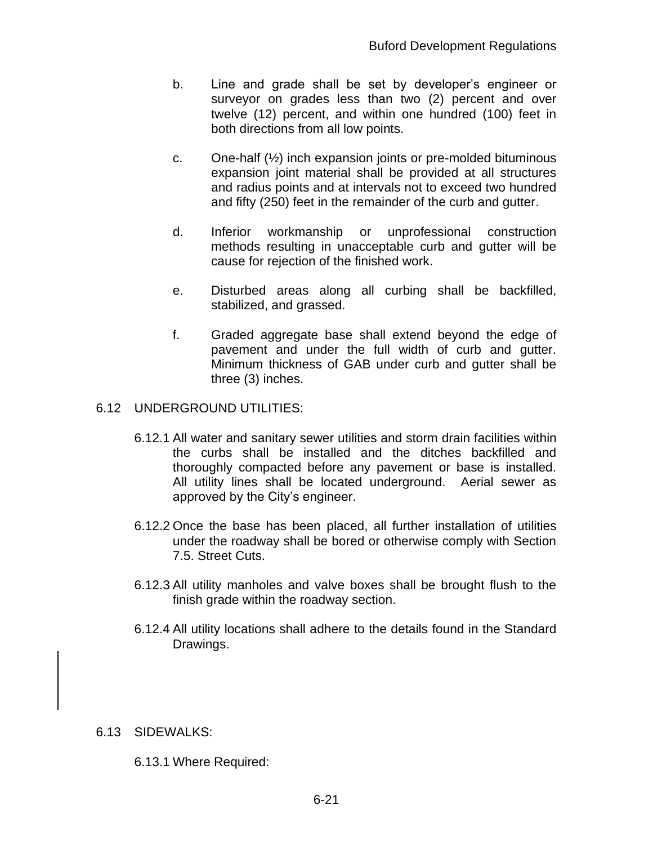- b. Line and grade shall be set by developer's engineer or surveyor on grades less than two (2) percent and over twelve (12) percent, and within one hundred (100) feet in both directions from all low points.
- c. One-half (½) inch expansion joints or pre-molded bituminous expansion joint material shall be provided at all structures and radius points and at intervals not to exceed two hundred and fifty (250) feet in the remainder of the curb and gutter.
- d. Inferior workmanship or unprofessional construction methods resulting in unacceptable curb and gutter will be cause for rejection of the finished work.
- e. Disturbed areas along all curbing shall be backfilled, stabilized, and grassed.
- f. Graded aggregate base shall extend beyond the edge of pavement and under the full width of curb and gutter. Minimum thickness of GAB under curb and gutter shall be three (3) inches.

#### 6.12 UNDERGROUND UTILITIES:

- 6.12.1 All water and sanitary sewer utilities and storm drain facilities within the curbs shall be installed and the ditches backfilled and thoroughly compacted before any pavement or base is installed. All utility lines shall be located underground. Aerial sewer as approved by the City's engineer.
- 6.12.2 Once the base has been placed, all further installation of utilities under the roadway shall be bored or otherwise comply with Section 7.5. Street Cuts.
- 6.12.3 All utility manholes and valve boxes shall be brought flush to the finish grade within the roadway section.
- 6.12.4 All utility locations shall adhere to the details found in the Standard Drawings.

#### 6.13 SIDEWALKS:

6.13.1 Where Required: